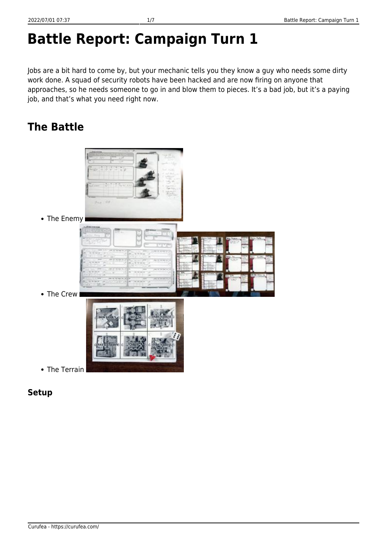# **Battle Report: Campaign Turn 1**

Jobs are a bit hard to come by, but your mechanic tells you they know a guy who needs some dirty work done. A squad of security robots have been hacked and are now firing on anyone that approaches, so he needs someone to go in and blow them to pieces. It's a bad job, but it's a paying job, and that's what you need right now.

## **The Battle**



•The Crew

• The Terrain



**Setup**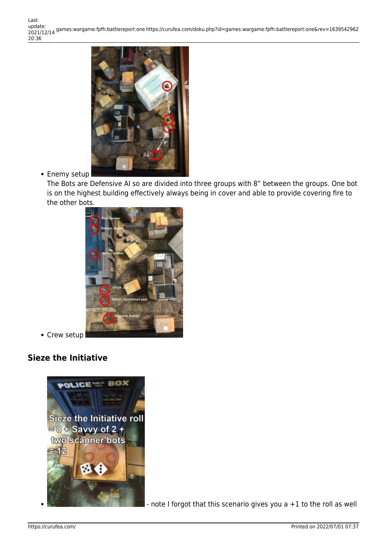Last update: 2021/12/14 games:wargame:fpfh:battlereport:one https://curufea.com/doku.php?id=games:wargame:fpfh:battlereport:one&rev=1639542962 20:36



• Enemy setup

The Bots are Defensive AI so are divided into three groups with 8" between the groups. One bot is on the highest building effectively always being in cover and able to provide covering fire to the other bots.



• Crew setup

#### **Sieze the Initiative**



- note I forgot that this scenario gives you a +1 to the roll as well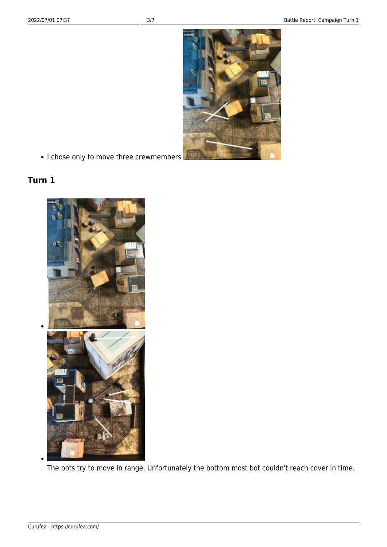

•I chose only to move three crewmembers

### **Turn 1**



The bots try to move in range. Unfortunately the bottom most bot couldn't reach cover in time.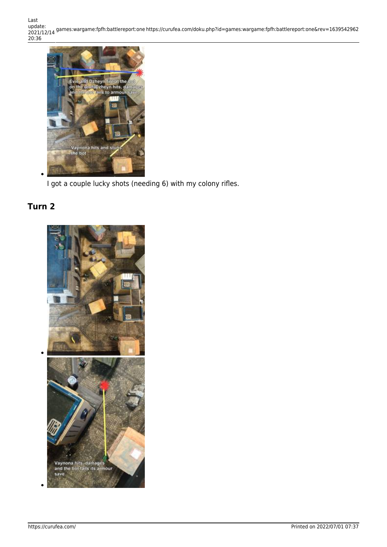Last update: 2021/12/14 games:wargame:fpfh:battlereport:one https://curufea.com/doku.php?id=games:wargame:fpfh:battlereport:one&rev=1639542962 20:36



I got a couple lucky shots (needing 6) with my colony rifles.



**Turn 2**

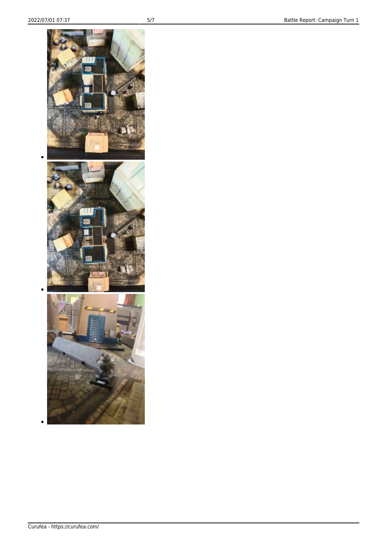

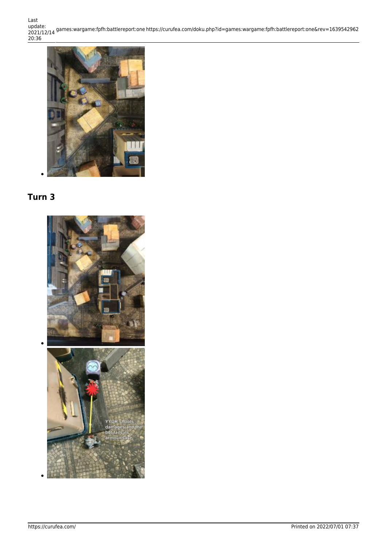**Turn 3**